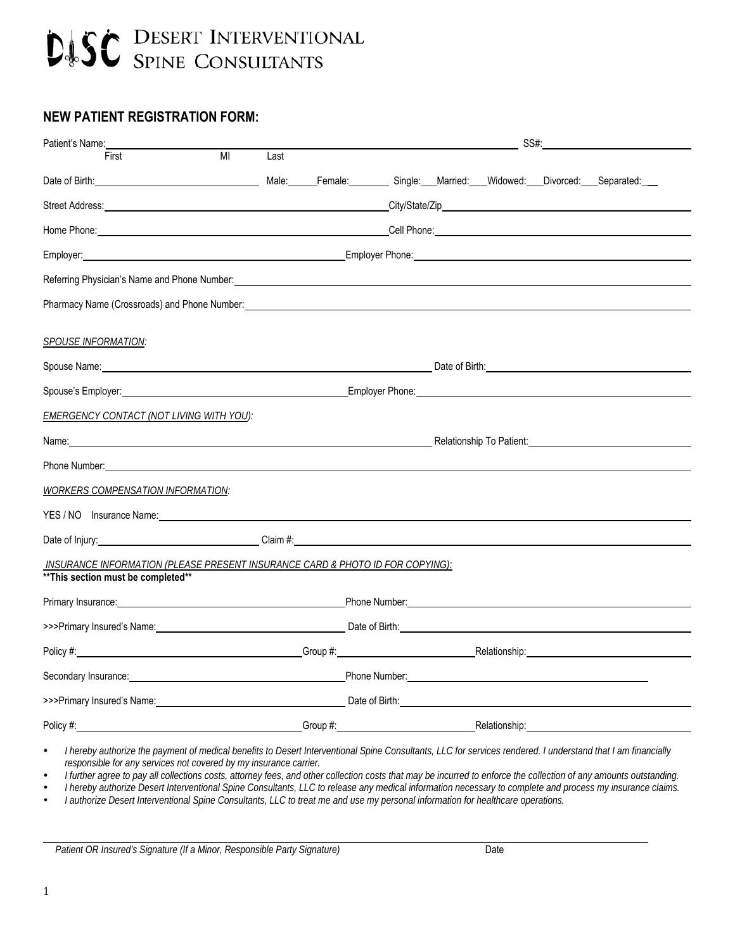# **DISC** DESERT INTERVENTIONAL

# **NEW PATIENT REGISTRATION FORM:**

| Patient's Name:                                                                                                                                                                                                                      |                |      | SS#:                                                                                                                                                                                                                                 |  |  |                                                                                                                |
|--------------------------------------------------------------------------------------------------------------------------------------------------------------------------------------------------------------------------------------|----------------|------|--------------------------------------------------------------------------------------------------------------------------------------------------------------------------------------------------------------------------------------|--|--|----------------------------------------------------------------------------------------------------------------|
| First                                                                                                                                                                                                                                | M <sub>l</sub> | Last |                                                                                                                                                                                                                                      |  |  |                                                                                                                |
| Date of Birth: Charles Community Contract Community Contract Community Contract Community Community Community Community Community Community Community Community Community Community Community Community Community Community Co       |                |      |                                                                                                                                                                                                                                      |  |  |                                                                                                                |
| Street Address: <u>Call Andress Communication of the Call Andress City/State/Zip City/State/Zip City/State/Zip City/State/Zip City/State/Zip City/State/Zip City/State/Zip City/State/Zip City/State/Zip City/State/Zip City/Sta</u> |                |      |                                                                                                                                                                                                                                      |  |  |                                                                                                                |
| Home Phone: <b>Example 2018</b> The Contract of Contract Contract Contract Contract Contract Contract Contract Contract Contract Contract Contract Contract Contract Contract Contract Contract Contract Contract Contract Contract  |                |      |                                                                                                                                                                                                                                      |  |  |                                                                                                                |
| Employer: 1990 Contract Contract Contract Contract Contract Contract Contract Contract Contract Contract Contract Contract Contract Contract Contract Contract Contract Contract Contract Contract Contract Contract Contract        |                |      |                                                                                                                                                                                                                                      |  |  |                                                                                                                |
| Referring Physician's Name and Phone Number: Name and The Contract of the Contract of the Contract of the Contract of the Contract of the Contract of the Contract of the Contract of the Contract of the Contract of the Cont       |                |      |                                                                                                                                                                                                                                      |  |  |                                                                                                                |
| Pharmacy Name (Crossroads) and Phone Number: example and the state of the state of the state of the state of the state of the state of the state of the state of the state of the state of the state of the state of the state       |                |      |                                                                                                                                                                                                                                      |  |  |                                                                                                                |
|                                                                                                                                                                                                                                      |                |      |                                                                                                                                                                                                                                      |  |  |                                                                                                                |
| SPOUSE INFORMATION:                                                                                                                                                                                                                  |                |      |                                                                                                                                                                                                                                      |  |  |                                                                                                                |
|                                                                                                                                                                                                                                      |                |      |                                                                                                                                                                                                                                      |  |  |                                                                                                                |
|                                                                                                                                                                                                                                      |                |      |                                                                                                                                                                                                                                      |  |  |                                                                                                                |
| EMERGENCY CONTACT (NOT LIVING WITH YOU):                                                                                                                                                                                             |                |      |                                                                                                                                                                                                                                      |  |  |                                                                                                                |
| Name: Name: Name: Name: Name: Name: Name: Name: Name: Name: Name: Name: Name: Name: Name: Name: Name: Name: Name: Name: Name: Name: Name: Name: Name: Name: Name: Name: Name: Name: Name: Name: Name: Name: Name: Name: Name:        |                |      |                                                                                                                                                                                                                                      |  |  | Relationship To Patient: Network of Patient Control of Patient Control of Patient Control of Patient Control o |
|                                                                                                                                                                                                                                      |                |      |                                                                                                                                                                                                                                      |  |  |                                                                                                                |
| <i>WORKERS COMPENSATION INFORMATION:</i>                                                                                                                                                                                             |                |      |                                                                                                                                                                                                                                      |  |  |                                                                                                                |
| YES / NO Insurance Name: No. 2014 19:00 19:00 19:00 19:00 19:00 19:00 19:00 19:00 19:00 19:00 19:00 19:00 19:0                                                                                                                       |                |      |                                                                                                                                                                                                                                      |  |  |                                                                                                                |
| Date of Injury: Claim #: Claim #: Claim #: Claim #: Claim #: Claim #: Claim #: Claim #: Claim #: Claim #: Claim #: Claim #: Claim #: Claim #: Claim #: Claim #: Claim #: Claim #: Claim #: Claim #: Claim #: Claim #: Claim #:       |                |      |                                                                                                                                                                                                                                      |  |  |                                                                                                                |
| INSURANCE INFORMATION (PLEASE PRESENT INSURANCE CARD & PHOTO ID FOR COPYING):                                                                                                                                                        |                |      |                                                                                                                                                                                                                                      |  |  |                                                                                                                |
| ** This section must be completed**                                                                                                                                                                                                  |                |      |                                                                                                                                                                                                                                      |  |  |                                                                                                                |
|                                                                                                                                                                                                                                      |                |      | Phone Number: <u>contained and a series of the series of the series of the series of the series of the series of the series of the series of the series of the series of the series of the series of the series of the series of</u> |  |  |                                                                                                                |
|                                                                                                                                                                                                                                      |                |      |                                                                                                                                                                                                                                      |  |  |                                                                                                                |
| Policy #: Netationship: Netationship: Netationship: Netationship: Netationship: Netationship: Netationship: Netationship: Netationship: Netationship: Netationship: Netationship: Netationship: Netationship: Netationship: Ne       |                |      |                                                                                                                                                                                                                                      |  |  |                                                                                                                |
| Secondary Insurance: Network and Secondary Insurance: Network and Secondary Insurance: Network and Secondary Insurance: Network and Secondary Insurance: Network and Secondary Insurance: Network and Secondary Insurance: Net       |                |      |                                                                                                                                                                                                                                      |  |  |                                                                                                                |
| >>>Primary Insured's Name: example and the contract of Birth: example and the contract of Birth:                                                                                                                                     |                |      |                                                                                                                                                                                                                                      |  |  |                                                                                                                |
|                                                                                                                                                                                                                                      |                |      |                                                                                                                                                                                                                                      |  |  |                                                                                                                |

 *I hereby authorize the payment of medical benefits to Desert Interventional Spine Consultants, LLC for services rendered. I understand that I am financially responsible for any services not covered by my insurance carrier.* 

*I further agree to pay all collections costs, attorney fees, and other collection costs that may be incurred to enforce the collection of any amounts outstanding.* 

*I hereby authorize Desert Interventional Spine Consultants, LLC to release any medical information necessary to complete and process my insurance claims.* 

*I authorize Desert Interventional Spine Consultants, LLC to treat me and use my personal information for healthcare operations.* 

Patient OR Insured's Signature (If a Minor, Responsible Party Signature) **Date** 

 $\overline{a}$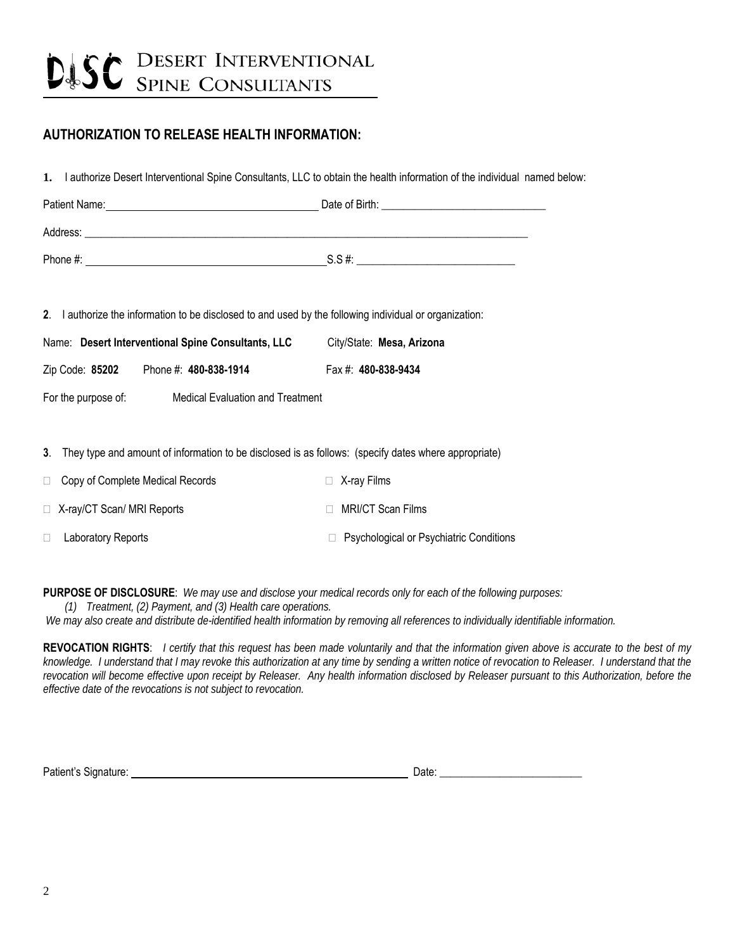# **DISC** DESERT INTERVENTIONAL

# **AUTHORIZATION TO RELEASE HEALTH INFORMATION:**

**1.** I authorize Desert Interventional Spine Consultants, LLC to obtain the health information of the individual named below:

| Patient Name: | Date of Birth: |
|---------------|----------------|
| Address:      |                |
| Phone #:      | $S.S.$ #:      |

**2**. I authorize the information to be disclosed to and used by the following individual or organization:

|  | Name: Desert Interventional Spine Consultants, LLC | City/State: Mesa, Arizona |
|--|----------------------------------------------------|---------------------------|
|--|----------------------------------------------------|---------------------------|

Zip Code: **85202** Phone #: **480-838-1914** Fax #: **480-838-9434** 

For the purpose of: Medical Evaluation and Treatment

**3**. They type and amount of information to be disclosed is as follows: (specify dates where appropriate)

| Copy of Complete Medical Records<br>$\Box$ | $\Box$ X-ray Films                        |
|--------------------------------------------|-------------------------------------------|
| $\Box$ X-ray/CT Scan/ MRI Reports          | □ MRI/CT Scan Films                       |
| Laboratory Reports                         | □ Psychological or Psychiatric Conditions |

**PURPOSE OF DISCLOSURE**: *We may use and disclose your medical records only for each of the following purposes: (1) Treatment, (2) Payment, and (3) Health care operations.* 

 *We may also create and distribute de-identified health information by removing all references to individually identifiable information.* 

**REVOCATION RIGHTS**: *I certify that this request has been made voluntarily and that the information given above is accurate to the best of my knowledge. I understand that I may revoke this authorization at any time by sending a written notice of revocation to Releaser. I understand that the*  revocation will become effective upon receipt by Releaser. Any health information disclosed by Releaser pursuant to this Authorization, before the *effective date of the revocations is not subject to revocation.* 

Patient's Signature: Date: \_\_\_\_\_\_\_\_\_\_\_\_\_\_\_\_\_\_\_\_\_\_\_\_\_\_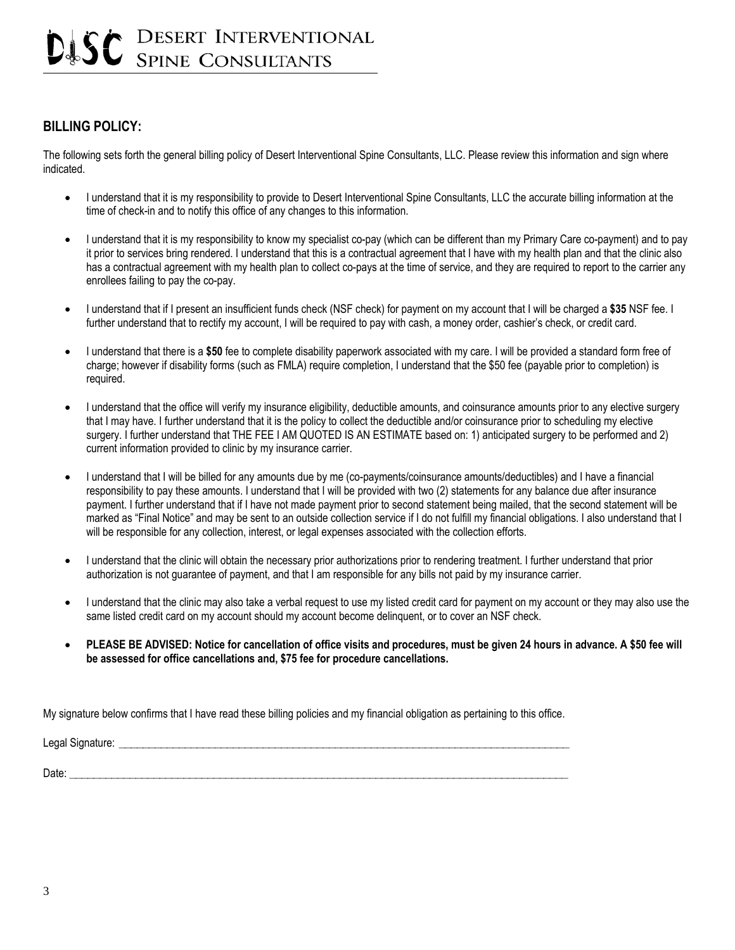# DESERT INTERVENTIONAL **SPINE CONSULTANTS**

### **BILLING POLICY:**

The following sets forth the general billing policy of Desert Interventional Spine Consultants, LLC. Please review this information and sign where indicated.

- I understand that it is my responsibility to provide to Desert Interventional Spine Consultants, LLC the accurate billing information at the time of check-in and to notify this office of any changes to this information.
- I understand that it is my responsibility to know my specialist co-pay (which can be different than my Primary Care co-payment) and to pay it prior to services bring rendered. I understand that this is a contractual agreement that I have with my health plan and that the clinic also has a contractual agreement with my health plan to collect co-pays at the time of service, and they are required to report to the carrier any enrollees failing to pay the co-pay.
- I understand that if I present an insufficient funds check (NSF check) for payment on my account that I will be charged a **\$35** NSF fee. I further understand that to rectify my account, I will be required to pay with cash, a money order, cashier's check, or credit card.
- I understand that there is a **\$50** fee to complete disability paperwork associated with my care. I will be provided a standard form free of charge; however if disability forms (such as FMLA) require completion, I understand that the \$50 fee (payable prior to completion) is required.
- I understand that the office will verify my insurance eligibility, deductible amounts, and coinsurance amounts prior to any elective surgery that I may have. I further understand that it is the policy to collect the deductible and/or coinsurance prior to scheduling my elective surgery. I further understand that THE FEE I AM QUOTED IS AN ESTIMATE based on: 1) anticipated surgery to be performed and 2) current information provided to clinic by my insurance carrier.
- I understand that I will be billed for any amounts due by me (co-payments/coinsurance amounts/deductibles) and I have a financial responsibility to pay these amounts. I understand that I will be provided with two (2) statements for any balance due after insurance payment. I further understand that if I have not made payment prior to second statement being mailed, that the second statement will be marked as "Final Notice" and may be sent to an outside collection service if I do not fulfill my financial obligations. I also understand that I will be responsible for any collection, interest, or legal expenses associated with the collection efforts.
- I understand that the clinic will obtain the necessary prior authorizations prior to rendering treatment. I further understand that prior authorization is not guarantee of payment, and that I am responsible for any bills not paid by my insurance carrier.
- I understand that the clinic may also take a verbal request to use my listed credit card for payment on my account or they may also use the same listed credit card on my account should my account become delinquent, or to cover an NSF check.
- **PLEASE BE ADVISED: Notice for cancellation of office visits and procedures, must be given 24 hours in advance. A \$50 fee will be assessed for office cancellations and, \$75 fee for procedure cancellations.**

My signature below confirms that I have read these billing policies and my financial obligation as pertaining to this office.

Legal Signature: \_\_\_\_\_\_\_\_\_\_\_\_\_\_\_\_\_\_\_\_\_\_\_\_\_\_\_\_\_\_\_\_\_\_\_\_\_\_\_\_\_\_\_\_\_\_\_\_\_\_\_\_\_\_\_\_\_\_\_\_\_\_\_\_\_\_\_\_\_\_\_\_\_\_\_

Date: \_\_\_\_\_\_\_\_\_\_\_\_\_\_\_\_\_\_\_\_\_\_\_\_\_\_\_\_\_\_\_\_\_\_\_\_\_\_\_\_\_\_\_\_\_\_\_\_\_\_\_\_\_\_\_\_\_\_\_\_\_\_\_\_\_\_\_\_\_\_\_\_\_\_\_\_\_\_\_\_\_\_\_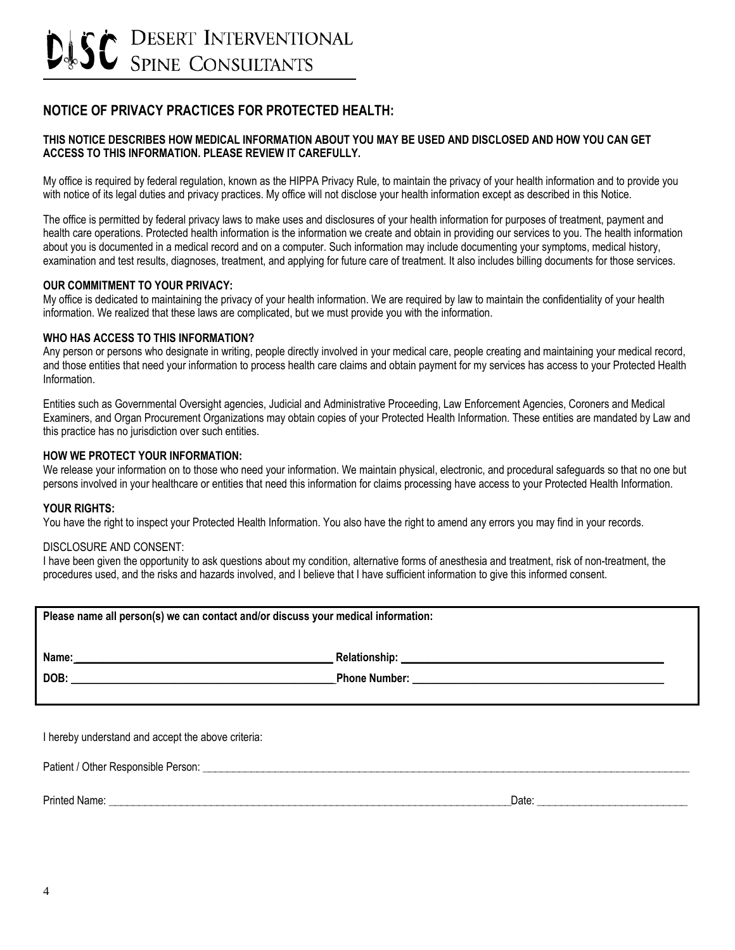# **NOTICE OF PRIVACY PRACTICES FOR PROTECTED HEALTH:**

#### **THIS NOTICE DESCRIBES HOW MEDICAL INFORMATION ABOUT YOU MAY BE USED AND DISCLOSED AND HOW YOU CAN GET ACCESS TO THIS INFORMATION. PLEASE REVIEW IT CAREFULLY.**

My office is required by federal regulation, known as the HIPPA Privacy Rule, to maintain the privacy of your health information and to provide you with notice of its legal duties and privacy practices. My office will not disclose your health information except as described in this Notice.

The office is permitted by federal privacy laws to make uses and disclosures of your health information for purposes of treatment, payment and health care operations. Protected health information is the information we create and obtain in providing our services to you. The health information about you is documented in a medical record and on a computer. Such information may include documenting your symptoms, medical history, examination and test results, diagnoses, treatment, and applying for future care of treatment. It also includes billing documents for those services.

#### **OUR COMMITMENT TO YOUR PRIVACY:**

My office is dedicated to maintaining the privacy of your health information. We are required by law to maintain the confidentiality of your health information. We realized that these laws are complicated, but we must provide you with the information.

#### **WHO HAS ACCESS TO THIS INFORMATION?**

Any person or persons who designate in writing, people directly involved in your medical care, people creating and maintaining your medical record, and those entities that need your information to process health care claims and obtain payment for my services has access to your Protected Health Information.

Entities such as Governmental Oversight agencies, Judicial and Administrative Proceeding, Law Enforcement Agencies, Coroners and Medical Examiners, and Organ Procurement Organizations may obtain copies of your Protected Health Information. These entities are mandated by Law and this practice has no jurisdiction over such entities.

#### **HOW WE PROTECT YOUR INFORMATION:**

We release your information on to those who need your information. We maintain physical, electronic, and procedural safeguards so that no one but persons involved in your healthcare or entities that need this information for claims processing have access to your Protected Health Information.

#### **YOUR RIGHTS:**

You have the right to inspect your Protected Health Information. You also have the right to amend any errors you may find in your records.

#### DISCLOSURE AND CONSENT:

I have been given the opportunity to ask questions about my condition, alternative forms of anesthesia and treatment, risk of non-treatment, the procedures used, and the risks and hazards involved, and I believe that I have sufficient information to give this informed consent.

| Please name all person(s) we can contact and/or discuss your medical information: |  |  |
|-----------------------------------------------------------------------------------|--|--|
| Name:                                                                             |  |  |
| DOB:                                                                              |  |  |
|                                                                                   |  |  |

I hereby understand and accept the above criteria:

Patient / Other Responsible Person: \_\_\_\_\_\_\_\_\_\_\_\_\_\_\_\_\_\_\_\_\_\_\_\_\_\_\_\_\_\_\_\_\_\_\_\_\_\_\_\_\_\_\_\_\_\_\_\_\_\_\_\_\_\_\_\_\_\_\_\_\_\_\_\_\_\_\_\_\_\_\_\_\_\_\_\_\_\_\_\_\_

Printed Name: \_\_\_\_\_\_\_\_\_\_\_\_\_\_\_\_\_\_\_\_\_\_\_\_\_\_\_\_\_\_\_\_\_\_\_\_\_\_\_\_\_\_\_\_\_\_\_\_\_\_\_\_\_\_\_\_\_\_\_\_\_\_\_\_\_\_\_Date: \_\_\_\_\_\_\_\_\_\_\_\_\_\_\_\_\_\_\_\_\_\_\_\_\_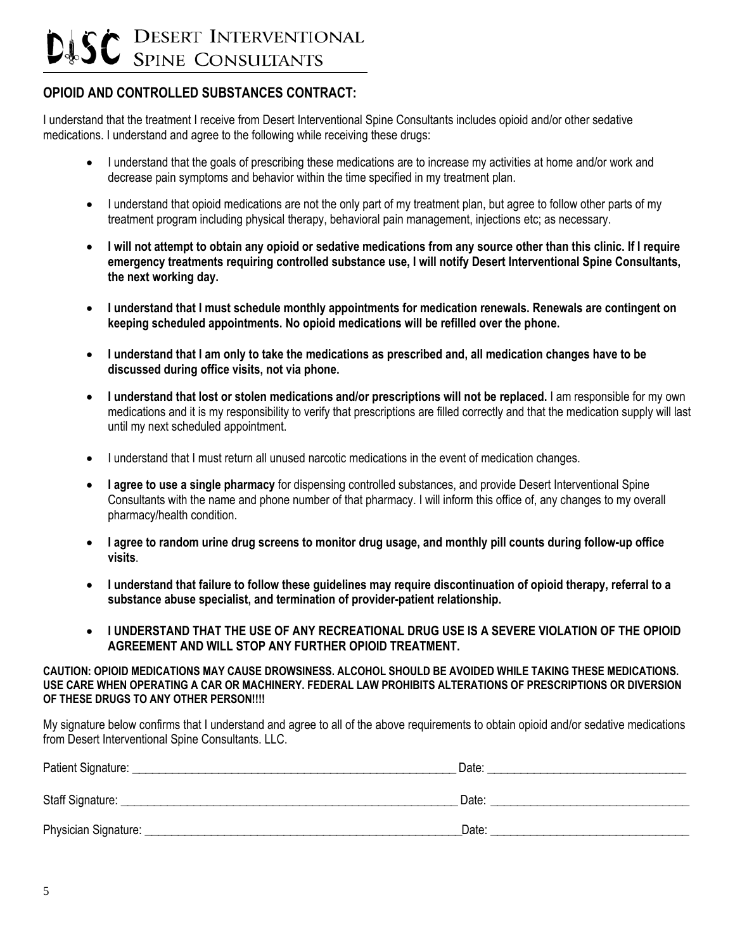# **DESERT INTERVENTIONAL SPINE CONSULTANTS**

## **OPIOID AND CONTROLLED SUBSTANCES CONTRACT:**

I understand that the treatment I receive from Desert Interventional Spine Consultants includes opioid and/or other sedative medications. I understand and agree to the following while receiving these drugs:

- I understand that the goals of prescribing these medications are to increase my activities at home and/or work and decrease pain symptoms and behavior within the time specified in my treatment plan.
- I understand that opioid medications are not the only part of my treatment plan, but agree to follow other parts of my treatment program including physical therapy, behavioral pain management, injections etc; as necessary.
- **I will not attempt to obtain any opioid or sedative medications from any source other than this clinic. If I require emergency treatments requiring controlled substance use, I will notify Desert Interventional Spine Consultants, the next working day.**
- **I understand that I must schedule monthly appointments for medication renewals. Renewals are contingent on keeping scheduled appointments. No opioid medications will be refilled over the phone.**
- **I understand that I am only to take the medications as prescribed and, all medication changes have to be discussed during office visits, not via phone.**
- **I understand that lost or stolen medications and/or prescriptions will not be replaced.** I am responsible for my own medications and it is my responsibility to verify that prescriptions are filled correctly and that the medication supply will last until my next scheduled appointment.
- I understand that I must return all unused narcotic medications in the event of medication changes.
- **I agree to use a single pharmacy** for dispensing controlled substances, and provide Desert Interventional Spine Consultants with the name and phone number of that pharmacy. I will inform this office of, any changes to my overall pharmacy/health condition.
- **I agree to random urine drug screens to monitor drug usage, and monthly pill counts during follow-up office visits**.
- **I understand that failure to follow these guidelines may require discontinuation of opioid therapy, referral to a substance abuse specialist, and termination of provider-patient relationship.**
- **I UNDERSTAND THAT THE USE OF ANY RECREATIONAL DRUG USE IS A SEVERE VIOLATION OF THE OPIOID AGREEMENT AND WILL STOP ANY FURTHER OPIOID TREATMENT.**

**CAUTION: OPIOID MEDICATIONS MAY CAUSE DROWSINESS. ALCOHOL SHOULD BE AVOIDED WHILE TAKING THESE MEDICATIONS. USE CARE WHEN OPERATING A CAR OR MACHINERY. FEDERAL LAW PROHIBITS ALTERATIONS OF PRESCRIPTIONS OR DIVERSION OF THESE DRUGS TO ANY OTHER PERSON!!!!** 

My signature below confirms that I understand and agree to all of the above requirements to obtain opioid and/or sedative medications from Desert Interventional Spine Consultants. LLC.

| Patient Signature:   | Date: |
|----------------------|-------|
| Staff Signature:     | Date: |
| Physician Signature: | Date: |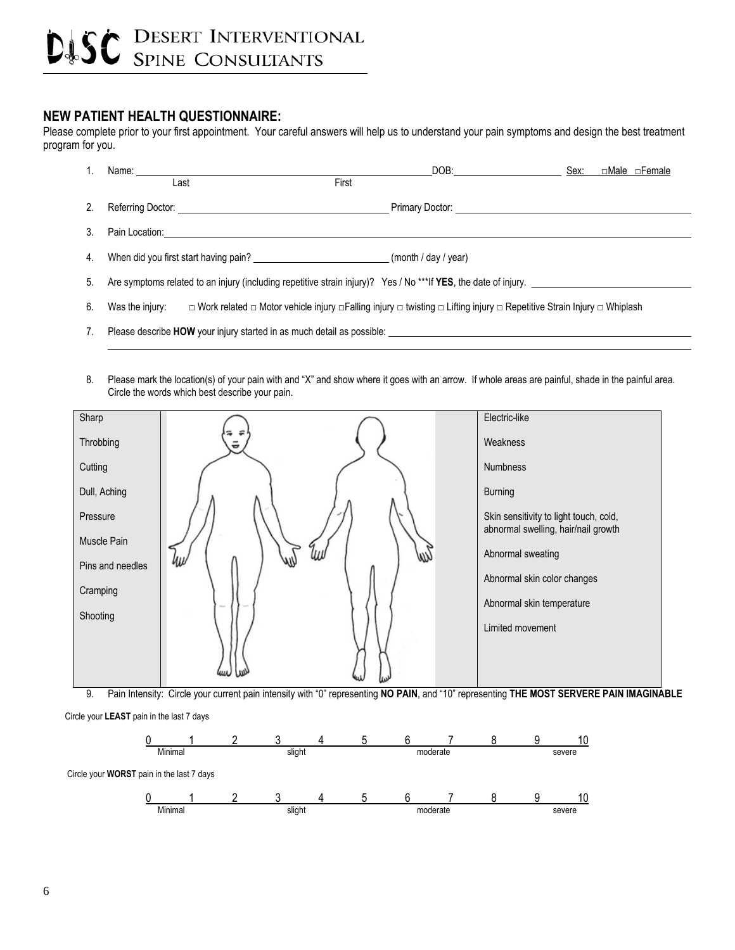### **NEW PATIENT HEALTH QUESTIONNAIRE:**

l

Please complete prior to your first appointment. Your careful answers will help us to understand your pain symptoms and design the best treatment program for you.



- 7. Please describe **HOW** your injury started in as much detail as possible:
- 8. Please mark the location(s) of your pain with and "X" and show where it goes with an arrow. If whole areas are painful, shade in the painful area. Circle the words which best describe your pain.



9. Pain Intensity: Circle your current pain intensity with "0" representing **NO PAIN**, and "10" representing **THE MOST SERVERE PAIN IMAGINABLE**

Circle your **LEAST** pain in the last 7 days

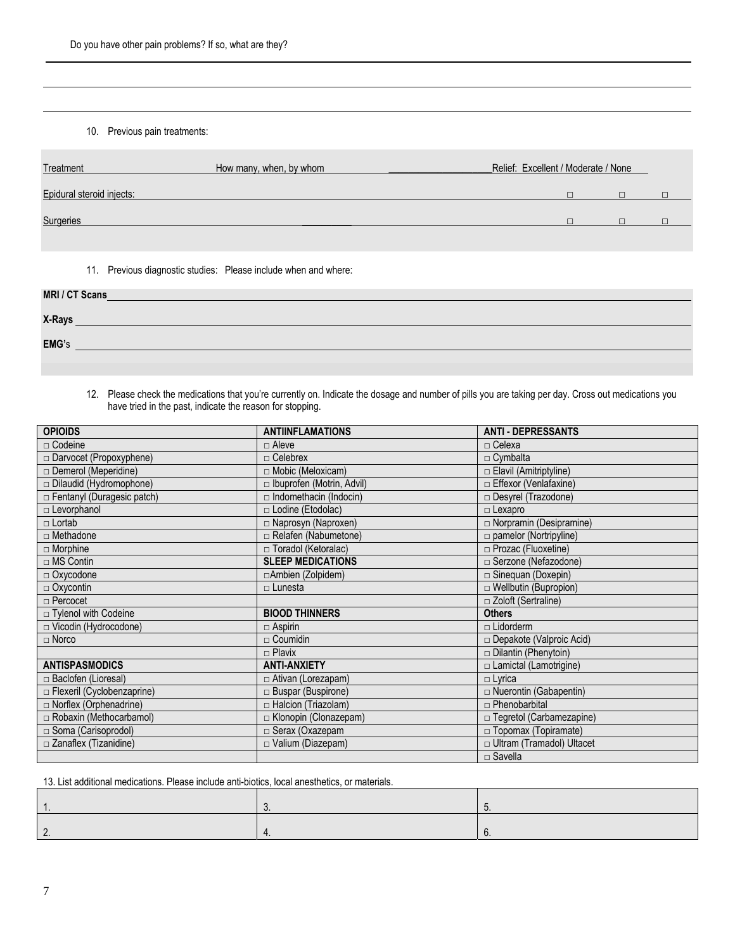#### 10. Previous pain treatments:

 $\overline{a}$ 

| Treatment                 | How many, when, by whom | Relief: Excellent / Moderate / None |  |  |
|---------------------------|-------------------------|-------------------------------------|--|--|
| Epidural steroid injects: |                         |                                     |  |  |
| Surgeries                 |                         |                                     |  |  |

11. Previous diagnostic studies: Please include when and where:

| MRI / CT Scans |  |  |
|----------------|--|--|
| X-Rays         |  |  |
| EMG's          |  |  |
|                |  |  |

#### 12. Please check the medications that you're currently on. Indicate the dosage and number of pills you are taking per day. Cross out medications you have tried in the past, indicate the reason for stopping.

| <b>OPIOIDS</b>                    | <b>ANTIINFLAMATIONS</b>       | <b>ANTI - DEPRESSANTS</b>       |
|-----------------------------------|-------------------------------|---------------------------------|
| $\Box$ Codeine                    | $\Box$ Aleve                  | $\Box$ Celexa                   |
| $\Box$ Darvocet (Propoxyphene)    | $\Box$ Celebrex               | $\Box$ Cymbalta                 |
| □ Demerol (Meperidine)            | $\Box$ Mobic (Meloxicam)      | $\Box$ Elavil (Amitriptyline)   |
| Dilaudid (Hydromophone)           | □ Ibuprofen (Motrin, Advil)   | □ Effexor (Venlafaxine)         |
| Fentanyl (Duragesic patch)        | $\Box$ Indomethacin (Indocin) | $\Box$ Desyrel (Trazodone)      |
| $\Box$ Levorphanol                | □ Lodine (Etodolac)           | $\Box$ Lexapro                  |
| $\Box$ Lortab                     | □ Naprosyn (Naproxen)         | □ Norpramin (Desipramine)       |
| $\Box$ Methadone                  | Relafen (Nabumetone)          | $\Box$ pamelor (Nortripyline)   |
| $\Box$ Morphine                   | □ Toradol (Ketoralac)         | □ Prozac (Fluoxetine)           |
| $\Box$ MS Contin                  | <b>SLEEP MEDICATIONS</b>      | □ Serzone (Nefazodone)          |
| $\Box$ Oxycodone                  | □ Ambien (Zolpidem)           | $\Box$ Sinequan (Doxepin)       |
| $\Box$ Oxycontin                  | $\Box$ Lunesta                | □ Wellbutin (Bupropion)         |
|                                   |                               |                                 |
| $\Box$ Percocet                   |                               | □ Zoloft (Sertraline)           |
| □ Tylenol with Codeine            | <b>BIOOD THINNERS</b>         | <b>Others</b>                   |
| $\Box$ Vicodin (Hydrocodone)      | $\Box$ Aspirin                | $\Box$ Lidorderm                |
| $\Box$ Norco                      | $\Box$ Coumidin               | $\Box$ Depakote (Valproic Acid) |
|                                   | $\Box$ Plavix                 | $\Box$ Dilantin (Phenytoin)     |
| <b>ANTISPASMODICS</b>             | <b>ANTI-ANXIETY</b>           | $\Box$ Lamictal (Lamotrigine)   |
| □ Baclofen (Lioresal)             | $\Box$ Ativan (Lorezapam)     | $\Box$ Lyrica                   |
| $\Box$ Flexeril (Cyclobenzaprine) | $\Box$ Buspar (Buspirone)     | □ Nuerontin (Gabapentin)        |
| $\Box$ Norflex (Orphenadrine)     | $\Box$ Halcion (Triazolam)    | $\Box$ Phenobarbital            |
| Robaxin (Methocarbamol)           | E Klonopin (Clonazepam)       | □ Tegretol (Carbamezapine)      |
| $\Box$ Soma (Carisoprodol)        | □ Serax (Oxazepam             | □ Topomax (Topiramate)          |
| □ Zanaflex (Tizanidine)           | $\Box$ Valium (Diazepam)      | □ Ultram (Tramadol) Ultacet     |

13. List additional medications. Please include anti-biotics, local anesthetics, or materials.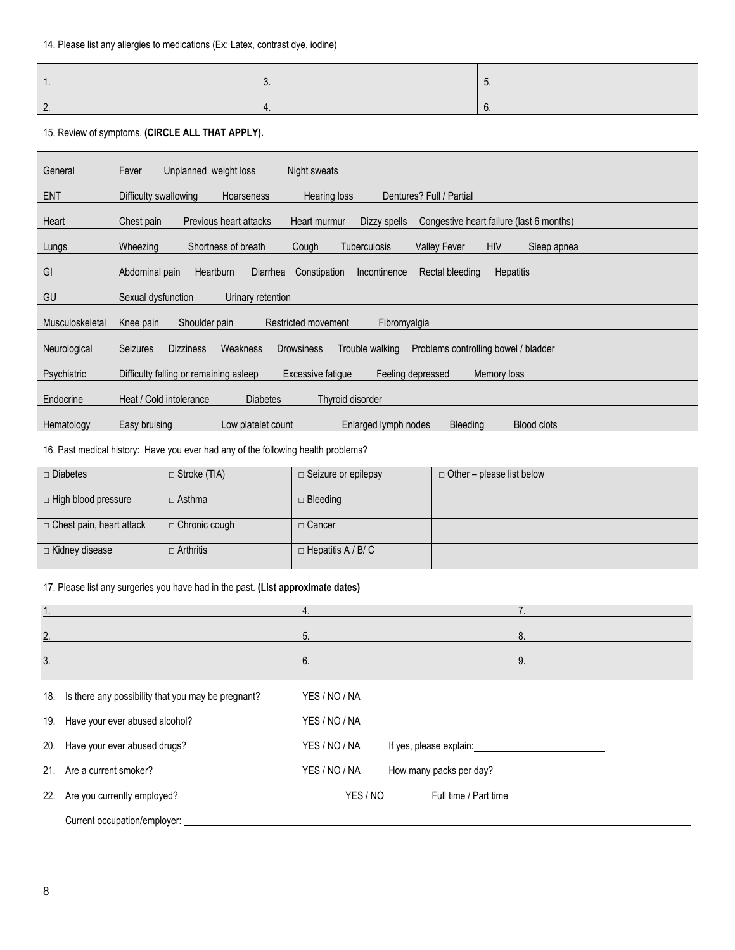15. Review of symptoms. **(CIRCLE ALL THAT APPLY).** 

| General         | Fever<br>Unplanned weight loss<br>Night sweats                                                                                  |
|-----------------|---------------------------------------------------------------------------------------------------------------------------------|
| <b>ENT</b>      | Dentures? Full / Partial<br>Difficulty swallowing<br>Hearing loss<br><b>Hoarseness</b>                                          |
| Heart           | Previous heart attacks<br>Congestive heart failure (last 6 months)<br>Chest pain<br>Heart murmur<br>Dizzy spells                |
| Lungs           | <b>HIV</b><br>Wheezing<br>Shortness of breath<br><b>Tuberculosis</b><br><b>Valley Fever</b><br>Cough<br>Sleep apnea             |
| GI              | Abdominal pain<br><b>Heartburn</b><br>Diarrhea<br>Constipation<br>Incontinence<br>Rectal bleeding<br><b>Hepatitis</b>           |
| GU              | Sexual dysfunction<br>Urinary retention                                                                                         |
| Musculoskeletal | Shoulder pain<br>Restricted movement<br>Fibromyalgia<br>Knee pain                                                               |
| Neurological    | <b>Seizures</b><br>Weakness<br><b>Dizziness</b><br><b>Drowsiness</b><br>Trouble walking<br>Problems controlling bowel / bladder |
| Psychiatric     | Difficulty falling or remaining asleep<br>Excessive fatique<br>Feeling depressed<br>Memory loss                                 |
| Endocrine       | Heat / Cold intolerance<br><b>Diabetes</b><br>Thyroid disorder                                                                  |
| Hematology      | Low platelet count<br>Enlarged lymph nodes<br><b>Bleeding</b><br><b>Blood clots</b><br>Easy bruising                            |

16. Past medical history: Have you ever had any of the following health problems?

| $\Box$ Diabetes                 | $\Box$ Stroke (TIA)  | $\Box$ Seizure or epilepsy | $\Box$ Other – please list below |
|---------------------------------|----------------------|----------------------------|----------------------------------|
| □ High blood pressure           | $\Box$ Asthma        | $\Box$ Bleeding            |                                  |
| $\Box$ Chest pain, heart attack | $\Box$ Chronic cough | □ Cancer                   |                                  |
| □ Kidney disease                | $\Box$ Arthritis     | $\Box$ Hepatitis A / B/ C  |                                  |

#### 17. Please list any surgeries you have had in the past. **(List approximate dates)**

| $\overline{1}$ . |                                                        | 4.            |                                         |  |
|------------------|--------------------------------------------------------|---------------|-----------------------------------------|--|
| 2.               |                                                        | 5.            | 8.                                      |  |
| 3.               |                                                        | 6.            | 9.                                      |  |
|                  |                                                        |               |                                         |  |
|                  | 18. Is there any possibility that you may be pregnant? | YES / NO / NA |                                         |  |
|                  | 19. Have your ever abused alcohol?                     | YES / NO / NA |                                         |  |
|                  | 20. Have your ever abused drugs?                       | YES / NO / NA |                                         |  |
| 21.              | Are a current smoker?                                  | YES / NO / NA | How many packs per day? _______________ |  |
|                  | 22. Are you currently employed?                        | YES / NO      | Full time / Part time                   |  |
|                  | Current occupation/employer:                           |               |                                         |  |